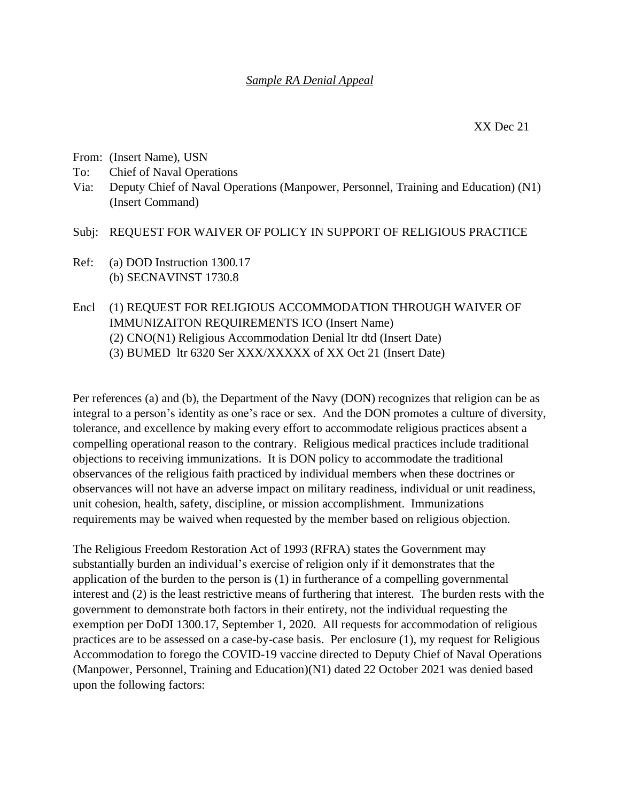- From: (Insert Name), USN
- To: Chief of Naval Operations
- Via: Deputy Chief of Naval Operations (Manpower, Personnel, Training and Education) (N1) (Insert Command)
- Subj: REQUEST FOR WAIVER OF POLICY IN SUPPORT OF RELIGIOUS PRACTICE
- Ref: (a) DOD Instruction 1300.17 (b) SECNAVINST 1730.8
- Encl (1) REQUEST FOR RELIGIOUS ACCOMMODATION THROUGH WAIVER OF IMMUNIZAITON REQUIREMENTS ICO (Insert Name) (2) CNO(N1) Religious Accommodation Denial ltr dtd (Insert Date) (3) BUMED ltr 6320 Ser XXX/XXXXX of XX Oct 21 (Insert Date)

Per references (a) and (b), the Department of the Navy (DON) recognizes that religion can be as integral to a person's identity as one's race or sex. And the DON promotes a culture of diversity, tolerance, and excellence by making every effort to accommodate religious practices absent a compelling operational reason to the contrary. Religious medical practices include traditional objections to receiving immunizations. It is DON policy to accommodate the traditional observances of the religious faith practiced by individual members when these doctrines or observances will not have an adverse impact on military readiness, individual or unit readiness, unit cohesion, health, safety, discipline, or mission accomplishment. Immunizations requirements may be waived when requested by the member based on religious objection.

The Religious Freedom Restoration Act of 1993 (RFRA) states the Government may substantially burden an individual's exercise of religion only if it demonstrates that the application of the burden to the person is (1) in furtherance of a compelling governmental interest and (2) is the least restrictive means of furthering that interest. The burden rests with the government to demonstrate both factors in their entirety, not the individual requesting the exemption per DoDI 1300.17, September 1, 2020. All requests for accommodation of religious practices are to be assessed on a case-by-case basis. Per enclosure (1), my request for Religious Accommodation to forego the COVID-19 vaccine directed to Deputy Chief of Naval Operations (Manpower, Personnel, Training and Education)(N1) dated 22 October 2021 was denied based upon the following factors: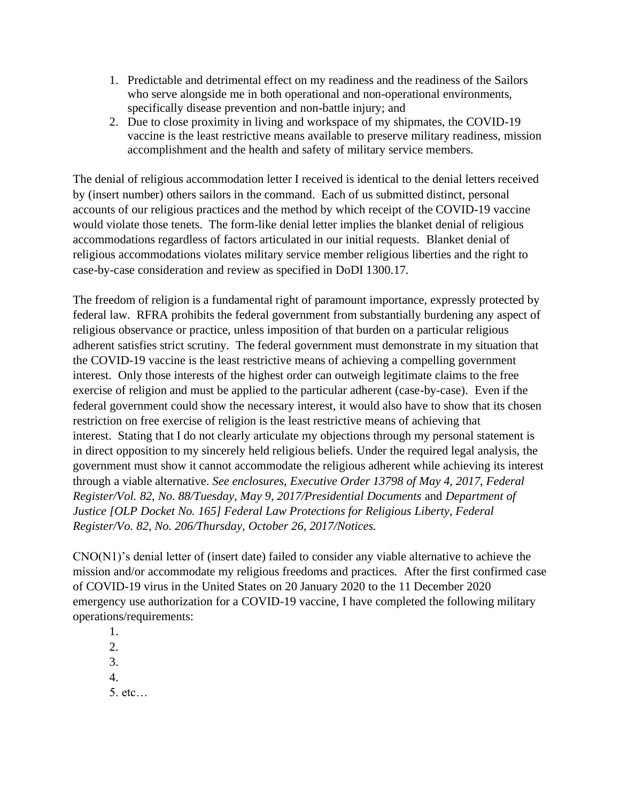- 1. Predictable and detrimental effect on my readiness and the readiness of the Sailors who serve alongside me in both operational and non-operational environments, specifically disease prevention and non-battle injury; and
- 2. Due to close proximity in living and workspace of my shipmates, the COVID-19 vaccine is the least restrictive means available to preserve military readiness, mission accomplishment and the health and safety of military service members.

The denial of religious accommodation letter I received is identical to the denial letters received by (insert number) others sailors in the command. Each of us submitted distinct, personal accounts of our religious practices and the method by which receipt of the COVID-19 vaccine would violate those tenets. The form-like denial letter implies the blanket denial of religious accommodations regardless of factors articulated in our initial requests. Blanket denial of religious accommodations violates military service member religious liberties and the right to case-by-case consideration and review as specified in DoDI 1300.17.

The freedom of religion is a fundamental right of paramount importance, expressly protected by federal law. RFRA prohibits the federal government from substantially burdening any aspect of religious observance or practice, unless imposition of that burden on a particular religious adherent satisfies strict scrutiny. The federal government must demonstrate in my situation that the COVID-19 vaccine is the least restrictive means of achieving a compelling government interest. Only those interests of the highest order can outweigh legitimate claims to the free exercise of religion and must be applied to the particular adherent (case-by-case). Even if the federal government could show the necessary interest, it would also have to show that its chosen restriction on free exercise of religion is the least restrictive means of achieving that interest. Stating that I do not clearly articulate my objections through my personal statement is in direct opposition to my sincerely held religious beliefs. Under the required legal analysis, the government must show it cannot accommodate the religious adherent while achieving its interest through a viable alternative. *See enclosures, Executive Order 13798 of May 4, 2017, Federal Register/Vol. 82, No. 88/Tuesday, May 9, 2017/Presidential Documents* and *Department of Justice [OLP Docket No. 165] Federal Law Protections for Religious Liberty, Federal Register/Vo. 82, No. 206/Thursday, October 26, 2017/Notices.*

CNO(N1)'s denial letter of (insert date) failed to consider any viable alternative to achieve the mission and/or accommodate my religious freedoms and practices. After the first confirmed case of COVID-19 virus in the United States on 20 January 2020 to the 11 December 2020 emergency use authorization for a COVID-19 vaccine, I have completed the following military operations/requirements:

1. 2. 3. 4. 5. etc…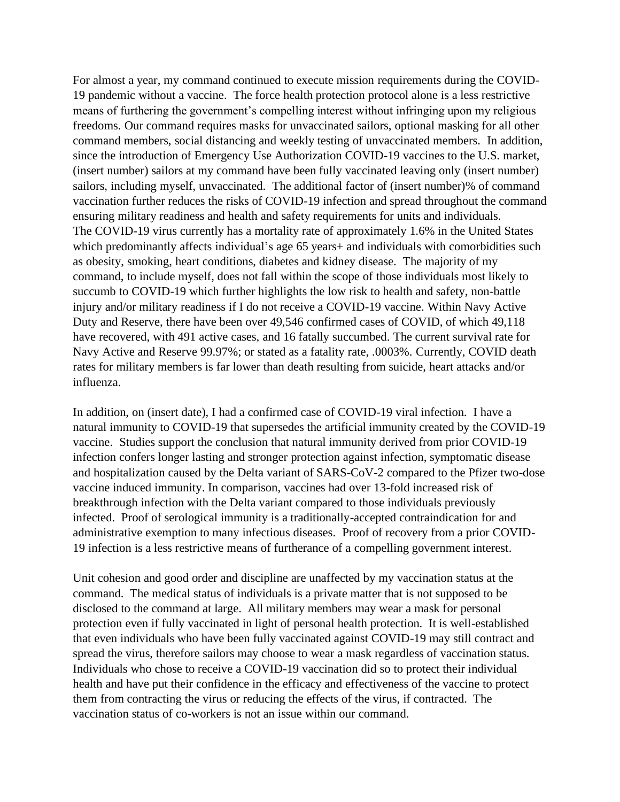For almost a year, my command continued to execute mission requirements during the COVID-19 pandemic without a vaccine. The force health protection protocol alone is a less restrictive means of furthering the government's compelling interest without infringing upon my religious freedoms. Our command requires masks for unvaccinated sailors, optional masking for all other command members, social distancing and weekly testing of unvaccinated members. In addition, since the introduction of Emergency Use Authorization COVID-19 vaccines to the U.S. market, (insert number) sailors at my command have been fully vaccinated leaving only (insert number) sailors, including myself, unvaccinated. The additional factor of (insert number)% of command vaccination further reduces the risks of COVID-19 infection and spread throughout the command ensuring military readiness and health and safety requirements for units and individuals. The COVID-19 virus currently has a mortality rate of approximately 1.6% in the United States which predominantly affects individual's age 65 years + and individuals with comorbidities such as obesity, smoking, heart conditions, diabetes and kidney disease. The majority of my command, to include myself, does not fall within the scope of those individuals most likely to succumb to COVID-19 which further highlights the low risk to health and safety, non-battle injury and/or military readiness if I do not receive a COVID-19 vaccine. Within Navy Active Duty and Reserve, there have been over 49,546 confirmed cases of COVID, of which 49,118 have recovered, with 491 active cases, and 16 fatally succumbed. The current survival rate for Navy Active and Reserve 99.97%; or stated as a fatality rate, .0003%. Currently, COVID death rates for military members is far lower than death resulting from suicide, heart attacks and/or influenza.

In addition, on (insert date), I had a confirmed case of COVID-19 viral infection. I have a natural immunity to COVID-19 that supersedes the artificial immunity created by the COVID-19 vaccine. Studies support the conclusion that natural immunity derived from prior COVID-19 infection confers longer lasting and stronger protection against infection, symptomatic disease and hospitalization caused by the Delta variant of SARS-CoV-2 compared to the Pfizer two-dose vaccine induced immunity. In comparison, vaccines had over 13-fold increased risk of breakthrough infection with the Delta variant compared to those individuals previously infected. Proof of serological immunity is a traditionally-accepted contraindication for and administrative exemption to many infectious diseases. Proof of recovery from a prior COVID-19 infection is a less restrictive means of furtherance of a compelling government interest.

Unit cohesion and good order and discipline are unaffected by my vaccination status at the command. The medical status of individuals is a private matter that is not supposed to be disclosed to the command at large. All military members may wear a mask for personal protection even if fully vaccinated in light of personal health protection. It is well-established that even individuals who have been fully vaccinated against COVID-19 may still contract and spread the virus, therefore sailors may choose to wear a mask regardless of vaccination status. Individuals who chose to receive a COVID-19 vaccination did so to protect their individual health and have put their confidence in the efficacy and effectiveness of the vaccine to protect them from contracting the virus or reducing the effects of the virus, if contracted. The vaccination status of co-workers is not an issue within our command.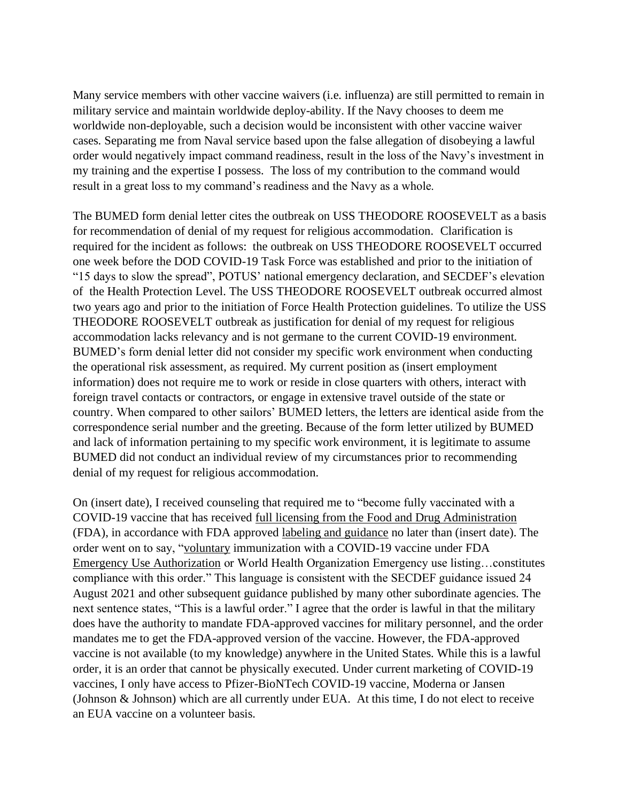Many service members with other vaccine waivers (i.e. influenza) are still permitted to remain in military service and maintain worldwide deploy-ability. If the Navy chooses to deem me worldwide non-deployable, such a decision would be inconsistent with other vaccine waiver cases. Separating me from Naval service based upon the false allegation of disobeying a lawful order would negatively impact command readiness, result in the loss of the Navy's investment in my training and the expertise I possess. The loss of my contribution to the command would result in a great loss to my command's readiness and the Navy as a whole.

The BUMED form denial letter cites the outbreak on USS THEODORE ROOSEVELT as a basis for recommendation of denial of my request for religious accommodation. Clarification is required for the incident as follows: the outbreak on USS THEODORE ROOSEVELT occurred one week before the DOD COVID-19 Task Force was established and prior to the initiation of "15 days to slow the spread", POTUS' national emergency declaration, and SECDEF's elevation of the Health Protection Level. The USS THEODORE ROOSEVELT outbreak occurred almost two years ago and prior to the initiation of Force Health Protection guidelines. To utilize the USS THEODORE ROOSEVELT outbreak as justification for denial of my request for religious accommodation lacks relevancy and is not germane to the current COVID-19 environment. BUMED's form denial letter did not consider my specific work environment when conducting the operational risk assessment, as required. My current position as (insert employment information) does not require me to work or reside in close quarters with others, interact with foreign travel contacts or contractors, or engage in extensive travel outside of the state or country. When compared to other sailors' BUMED letters, the letters are identical aside from the correspondence serial number and the greeting. Because of the form letter utilized by BUMED and lack of information pertaining to my specific work environment, it is legitimate to assume BUMED did not conduct an individual review of my circumstances prior to recommending denial of my request for religious accommodation.

On (insert date), I received counseling that required me to "become fully vaccinated with a COVID-19 vaccine that has received full licensing from the Food and Drug Administration (FDA), in accordance with FDA approved labeling and guidance no later than (insert date). The order went on to say, "voluntary immunization with a COVID-19 vaccine under FDA Emergency Use Authorization or World Health Organization Emergency use listing…constitutes compliance with this order." This language is consistent with the SECDEF guidance issued 24 August 2021 and other subsequent guidance published by many other subordinate agencies. The next sentence states, "This is a lawful order." I agree that the order is lawful in that the military does have the authority to mandate FDA-approved vaccines for military personnel, and the order mandates me to get the FDA-approved version of the vaccine. However, the FDA-approved vaccine is not available (to my knowledge) anywhere in the United States. While this is a lawful order, it is an order that cannot be physically executed. Under current marketing of COVID-19 vaccines, I only have access to Pfizer-BioNTech COVID-19 vaccine, Moderna or Jansen (Johnson & Johnson) which are all currently under EUA. At this time, I do not elect to receive an EUA vaccine on a volunteer basis.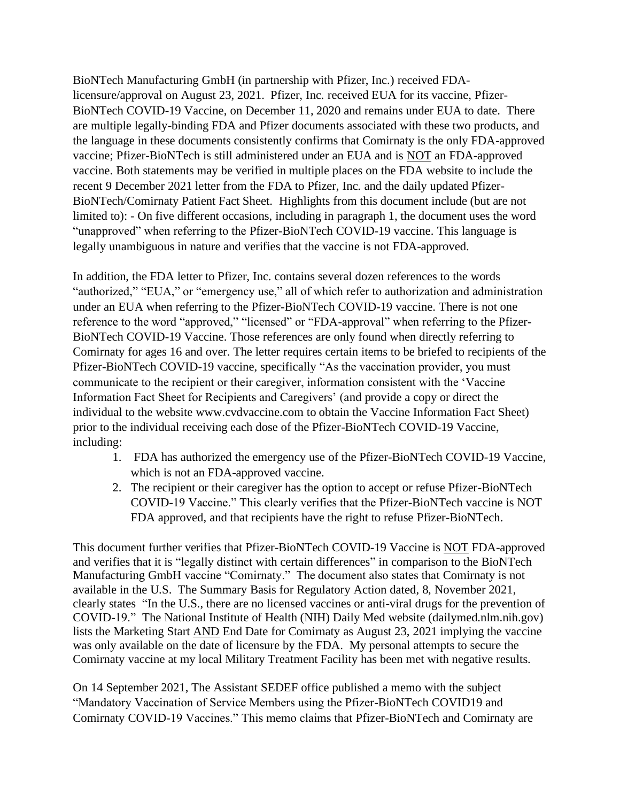BioNTech Manufacturing GmbH (in partnership with Pfizer, Inc.) received FDAlicensure/approval on August 23, 2021. Pfizer, Inc. received EUA for its vaccine, Pfizer-BioNTech COVID-19 Vaccine, on December 11, 2020 and remains under EUA to date. There are multiple legally-binding FDA and Pfizer documents associated with these two products, and the language in these documents consistently confirms that Comirnaty is the only FDA-approved vaccine; Pfizer-BioNTech is still administered under an EUA and is NOT an FDA-approved vaccine. Both statements may be verified in multiple places on the FDA website to include the recent 9 December 2021 letter from the FDA to Pfizer, Inc. and the daily updated Pfizer-BioNTech/Comirnaty Patient Fact Sheet. Highlights from this document include (but are not limited to): - On five different occasions, including in paragraph 1, the document uses the word "unapproved" when referring to the Pfizer-BioNTech COVID-19 vaccine. This language is legally unambiguous in nature and verifies that the vaccine is not FDA-approved.

In addition, the FDA letter to Pfizer, Inc. contains several dozen references to the words "authorized," "EUA," or "emergency use," all of which refer to authorization and administration under an EUA when referring to the Pfizer-BioNTech COVID-19 vaccine. There is not one reference to the word "approved," "licensed" or "FDA-approval" when referring to the Pfizer-BioNTech COVID-19 Vaccine. Those references are only found when directly referring to Comirnaty for ages 16 and over. The letter requires certain items to be briefed to recipients of the Pfizer-BioNTech COVID-19 vaccine, specifically "As the vaccination provider, you must communicate to the recipient or their caregiver, information consistent with the 'Vaccine Information Fact Sheet for Recipients and Caregivers' (and provide a copy or direct the individual to the website www.cvdvaccine.com to obtain the Vaccine Information Fact Sheet) prior to the individual receiving each dose of the Pfizer-BioNTech COVID-19 Vaccine, including:

- 1. FDA has authorized the emergency use of the Pfizer-BioNTech COVID-19 Vaccine, which is not an FDA-approved vaccine.
- 2. The recipient or their caregiver has the option to accept or refuse Pfizer-BioNTech COVID-19 Vaccine." This clearly verifies that the Pfizer-BioNTech vaccine is NOT FDA approved, and that recipients have the right to refuse Pfizer-BioNTech.

This document further verifies that Pfizer-BioNTech COVID-19 Vaccine is NOT FDA-approved and verifies that it is "legally distinct with certain differences" in comparison to the BioNTech Manufacturing GmbH vaccine "Comirnaty." The document also states that Comirnaty is not available in the U.S. The Summary Basis for Regulatory Action dated, 8, November 2021, clearly states "In the U.S., there are no licensed vaccines or anti-viral drugs for the prevention of COVID-19." The National Institute of Health (NIH) Daily Med website (dailymed.nlm.nih.gov) lists the Marketing Start AND End Date for Comirnaty as August 23, 2021 implying the vaccine was only available on the date of licensure by the FDA. My personal attempts to secure the Comirnaty vaccine at my local Military Treatment Facility has been met with negative results.

On 14 September 2021, The Assistant SEDEF office published a memo with the subject "Mandatory Vaccination of Service Members using the Pfizer-BioNTech COVID19 and Comirnaty COVID-19 Vaccines." This memo claims that Pfizer-BioNTech and Comirnaty are